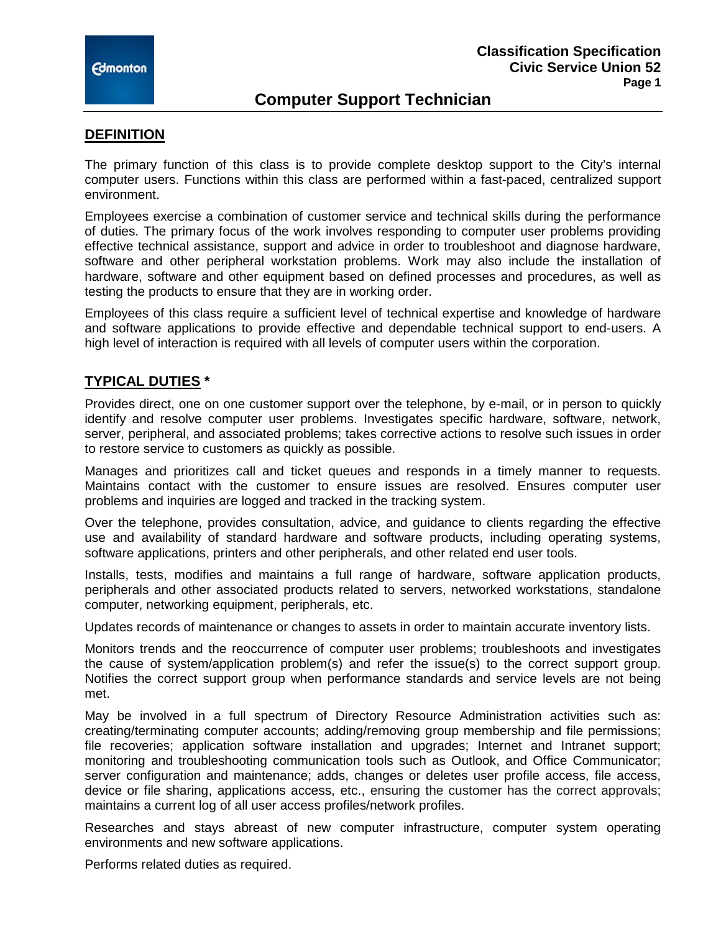

# **Computer Support Technician**

#### **DEFINITION**

The primary function of this class is to provide complete desktop support to the City's internal computer users. Functions within this class are performed within a fast-paced, centralized support environment.

Employees exercise a combination of customer service and technical skills during the performance of duties. The primary focus of the work involves responding to computer user problems providing effective technical assistance, support and advice in order to troubleshoot and diagnose hardware, software and other peripheral workstation problems. Work may also include the installation of hardware, software and other equipment based on defined processes and procedures, as well as testing the products to ensure that they are in working order.

Employees of this class require a sufficient level of technical expertise and knowledge of hardware and software applications to provide effective and dependable technical support to end-users. A high level of interaction is required with all levels of computer users within the corporation.

### **TYPICAL DUTIES \***

Provides direct, one on one customer support over the telephone, by e-mail, or in person to quickly identify and resolve computer user problems. Investigates specific hardware, software, network, server, peripheral, and associated problems; takes corrective actions to resolve such issues in order to restore service to customers as quickly as possible.

Manages and prioritizes call and ticket queues and responds in a timely manner to requests. Maintains contact with the customer to ensure issues are resolved. Ensures computer user problems and inquiries are logged and tracked in the tracking system.

Over the telephone, provides consultation, advice, and guidance to clients regarding the effective use and availability of standard hardware and software products, including operating systems, software applications, printers and other peripherals, and other related end user tools.

Installs, tests, modifies and maintains a full range of hardware, software application products, peripherals and other associated products related to servers, networked workstations, standalone computer, networking equipment, peripherals, etc.

Updates records of maintenance or changes to assets in order to maintain accurate inventory lists.

Monitors trends and the reoccurrence of computer user problems; troubleshoots and investigates the cause of system/application problem(s) and refer the issue(s) to the correct support group. Notifies the correct support group when performance standards and service levels are not being met.

May be involved in a full spectrum of Directory Resource Administration activities such as: creating/terminating computer accounts; adding/removing group membership and file permissions; file recoveries; application software installation and upgrades; Internet and Intranet support; monitoring and troubleshooting communication tools such as Outlook, and Office Communicator; server configuration and maintenance; adds, changes or deletes user profile access, file access, device or file sharing, applications access, etc., ensuring the customer has the correct approvals; maintains a current log of all user access profiles/network profiles.

Researches and stays abreast of new computer infrastructure, computer system operating environments and new software applications.

Performs related duties as required.